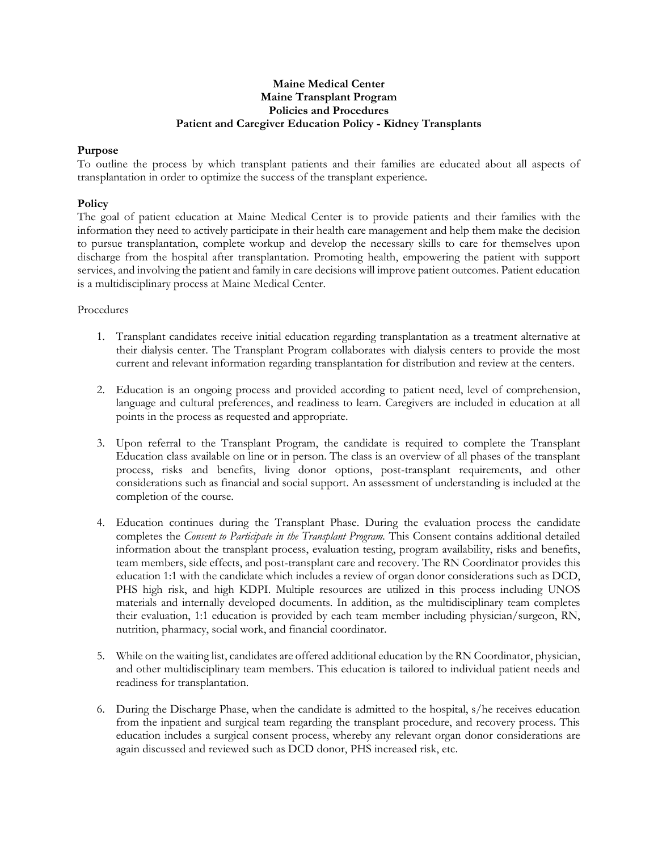## **Maine Medical Center Maine Transplant Program Policies and Procedures Patient and Caregiver Education Policy - Kidney Transplants**

## **Purpose**

To outline the process by which transplant patients and their families are educated about all aspects of transplantation in order to optimize the success of the transplant experience.

## **Policy**

The goal of patient education at Maine Medical Center is to provide patients and their families with the information they need to actively participate in their health care management and help them make the decision to pursue transplantation, complete workup and develop the necessary skills to care for themselves upon discharge from the hospital after transplantation. Promoting health, empowering the patient with support services, and involving the patient and family in care decisions will improve patient outcomes. Patient education is a multidisciplinary process at Maine Medical Center.

## Procedures

- 1. Transplant candidates receive initial education regarding transplantation as a treatment alternative at their dialysis center. The Transplant Program collaborates with dialysis centers to provide the most current and relevant information regarding transplantation for distribution and review at the centers.
- 2. Education is an ongoing process and provided according to patient need, level of comprehension, language and cultural preferences, and readiness to learn. Caregivers are included in education at all points in the process as requested and appropriate.
- 3. Upon referral to the Transplant Program, the candidate is required to complete the Transplant Education class available on line or in person. The class is an overview of all phases of the transplant process, risks and benefits, living donor options, post-transplant requirements, and other considerations such as financial and social support. An assessment of understanding is included at the completion of the course.
- 4. Education continues during the Transplant Phase. During the evaluation process the candidate completes the *Consent to Participate in the Transplant Program.* This Consent contains additional detailed information about the transplant process, evaluation testing, program availability, risks and benefits, team members, side effects, and post-transplant care and recovery. The RN Coordinator provides this education 1:1 with the candidate which includes a review of organ donor considerations such as DCD, PHS high risk, and high KDPI. Multiple resources are utilized in this process including UNOS materials and internally developed documents. In addition, as the multidisciplinary team completes their evaluation, 1:1 education is provided by each team member including physician/surgeon, RN, nutrition, pharmacy, social work, and financial coordinator.
- 5. While on the waiting list, candidates are offered additional education by the RN Coordinator, physician, and other multidisciplinary team members. This education is tailored to individual patient needs and readiness for transplantation.
- 6. During the Discharge Phase, when the candidate is admitted to the hospital, s/he receives education from the inpatient and surgical team regarding the transplant procedure, and recovery process. This education includes a surgical consent process, whereby any relevant organ donor considerations are again discussed and reviewed such as DCD donor, PHS increased risk, etc.